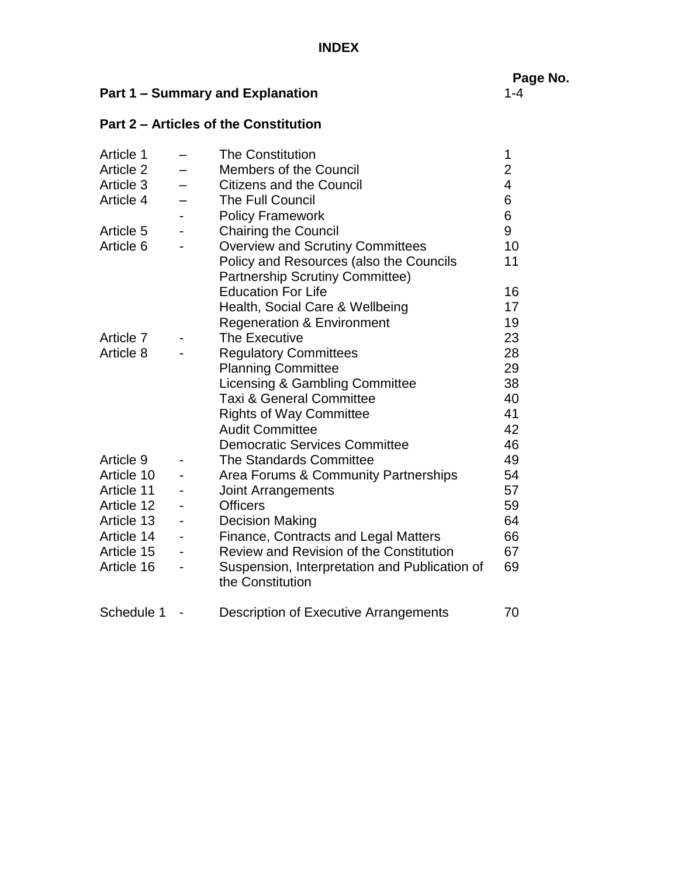|                                         |  |                                              | Pa |
|-----------------------------------------|--|----------------------------------------------|----|
| <b>Part 1 – Summary and Explanation</b> |  | 1-4                                          |    |
|                                         |  | <b>Part 2 – Articles of the Constitution</b> |    |
|                                         |  | Article 1 - The Constitution                 |    |

**Page No.**

| Article T  |                              | i në Constitution                                                 | L              |
|------------|------------------------------|-------------------------------------------------------------------|----------------|
| Article 2  |                              | <b>Members of the Council</b>                                     | $\overline{c}$ |
| Article 3  |                              | <b>Citizens and the Council</b>                                   | 4              |
| Article 4  |                              | The Full Council                                                  | 6              |
|            |                              | <b>Policy Framework</b>                                           | 6              |
| Article 5  | $\overline{\phantom{a}}$     | <b>Chairing the Council</b>                                       | 9              |
| Article 6  |                              | <b>Overview and Scrutiny Committees</b>                           | 10             |
|            |                              | Policy and Resources (also the Councils                           | 11             |
|            |                              | <b>Partnership Scrutiny Committee)</b>                            |                |
|            |                              | <b>Education For Life</b>                                         | 16             |
|            |                              | Health, Social Care & Wellbeing                                   | 17             |
|            |                              | <b>Regeneration &amp; Environment</b>                             | 19             |
| Article 7  |                              | The Executive                                                     | 23             |
| Article 8  |                              | <b>Regulatory Committees</b>                                      | 28             |
|            |                              | <b>Planning Committee</b>                                         | 29             |
|            |                              | Licensing & Gambling Committee                                    | 38             |
|            |                              | <b>Taxi &amp; General Committee</b>                               | 40             |
|            |                              | <b>Rights of Way Committee</b>                                    | 41             |
|            |                              | <b>Audit Committee</b>                                            | 42             |
|            |                              | <b>Democratic Services Committee</b>                              | 46             |
| Article 9  |                              | <b>The Standards Committee</b>                                    | 49             |
| Article 10 |                              | Area Forums & Community Partnerships                              | 54             |
| Article 11 |                              | <b>Joint Arrangements</b>                                         | 57             |
| Article 12 |                              | <b>Officers</b>                                                   | 59             |
| Article 13 |                              | <b>Decision Making</b>                                            | 64             |
| Article 14 |                              | <b>Finance, Contracts and Legal Matters</b>                       | 66             |
| Article 15 |                              | Review and Revision of the Constitution                           | 67             |
| Article 16 | $\qquad \qquad \blacksquare$ | Suspension, Interpretation and Publication of<br>the Constitution | 69             |
| Schedule 1 |                              | Description of Executive Arrangements                             | 70             |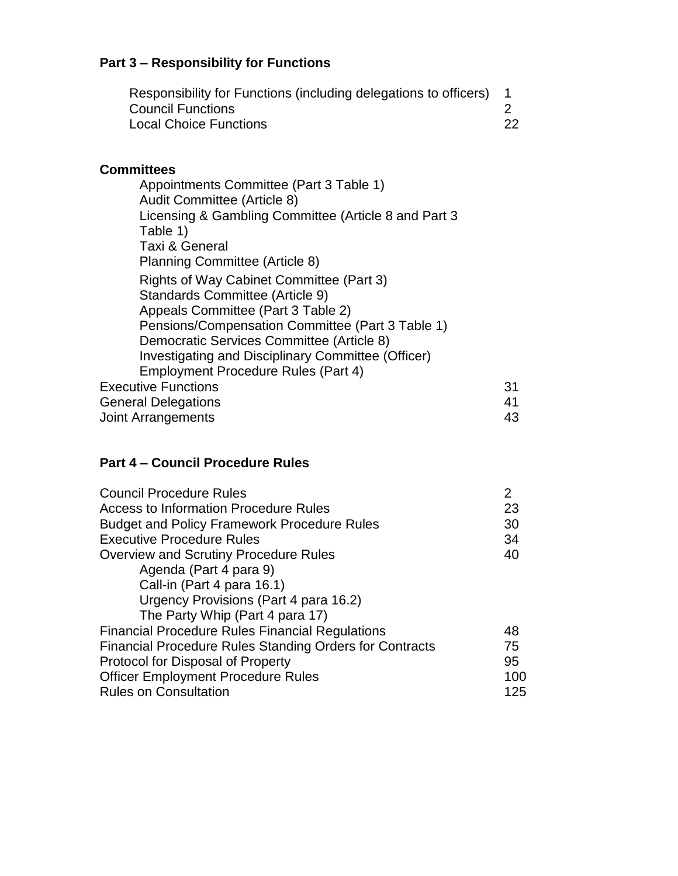# **Part 3 – Responsibility for Functions**

| Responsibility for Functions (including delegations to officers) |  |
|------------------------------------------------------------------|--|
| <b>Council Functions</b>                                         |  |
| <b>Local Choice Functions</b>                                    |  |

## **Committees**

| Appointments Committee (Part 3 Table 1)<br>Audit Committee (Article 8) |    |
|------------------------------------------------------------------------|----|
| Licensing & Gambling Committee (Article 8 and Part 3<br>Table 1)       |    |
| Taxi & General                                                         |    |
| Planning Committee (Article 8)                                         |    |
| <b>Rights of Way Cabinet Committee (Part 3)</b>                        |    |
| Standards Committee (Article 9)                                        |    |
| Appeals Committee (Part 3 Table 2)                                     |    |
| Pensions/Compensation Committee (Part 3 Table 1)                       |    |
| Democratic Services Committee (Article 8)                              |    |
| Investigating and Disciplinary Committee (Officer)                     |    |
| Employment Procedure Rules (Part 4)                                    |    |
| <b>Executive Functions</b>                                             |    |
| <b>General Delegations</b>                                             | 41 |
| Joint Arrangements                                                     | 43 |
|                                                                        |    |

## **Part 4 – Council Procedure Rules**

| <b>Council Procedure Rules</b>                                 | 2   |
|----------------------------------------------------------------|-----|
| Access to Information Procedure Rules                          | 23  |
| <b>Budget and Policy Framework Procedure Rules</b>             | 30  |
| <b>Executive Procedure Rules</b>                               |     |
| <b>Overview and Scrutiny Procedure Rules</b>                   |     |
| Agenda (Part 4 para 9)                                         |     |
| Call-in (Part 4 para 16.1)                                     |     |
| Urgency Provisions (Part 4 para 16.2)                          |     |
| The Party Whip (Part 4 para 17)                                |     |
| <b>Financial Procedure Rules Financial Regulations</b>         | 48  |
| <b>Financial Procedure Rules Standing Orders for Contracts</b> | 75  |
| Protocol for Disposal of Property                              |     |
| <b>Officer Employment Procedure Rules</b>                      | 100 |
| <b>Rules on Consultation</b>                                   |     |
|                                                                |     |